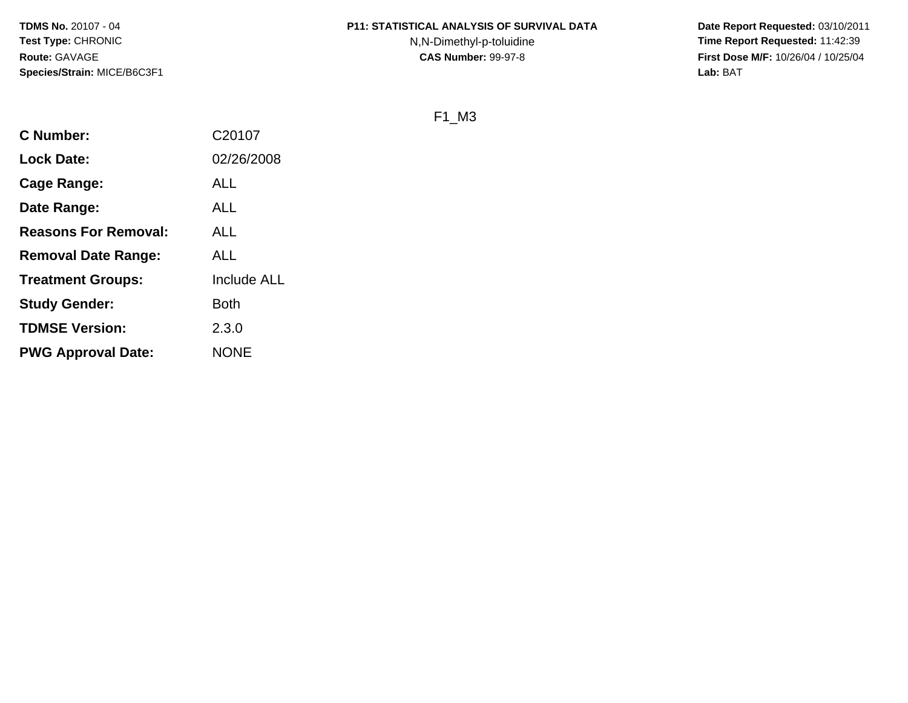## **P11: STATISTICAL ANALYSIS OF SURVIVAL DATA**

N,N-Dimethyl-p-toluidine

 **Date Report Requested:** 03/10/2011 **Time Report Requested:** 11:42:39 **First Dose M/F:** 10/26/04 / 10/25/04<br>**Lab:** BAT **Lab:** BAT

F1\_M3

| <b>C</b> Number:            | C20107             |
|-----------------------------|--------------------|
| <b>Lock Date:</b>           | 02/26/2008         |
| Cage Range:                 | ALL                |
| Date Range:                 | <b>ALL</b>         |
| <b>Reasons For Removal:</b> | ALL                |
| <b>Removal Date Range:</b>  | ALL                |
| <b>Treatment Groups:</b>    | <b>Include ALL</b> |
| <b>Study Gender:</b>        | <b>Both</b>        |
| <b>TDMSE Version:</b>       | 2.3.0              |
| <b>PWG Approval Date:</b>   | <b>NONE</b>        |
|                             |                    |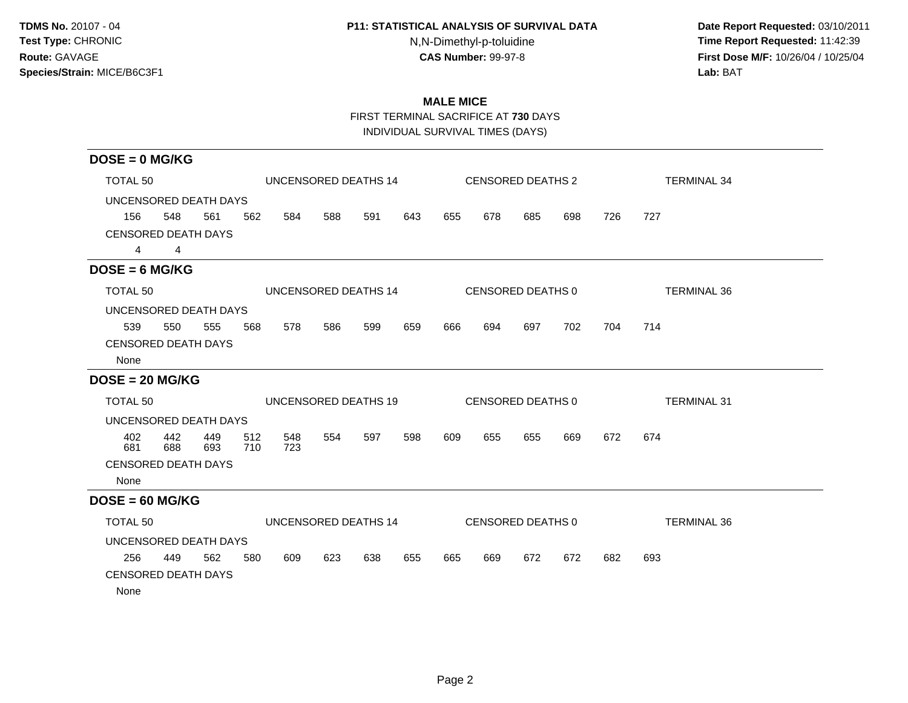## **P11: STATISTICAL ANALYSIS OF SURVIVAL DATA**

N,N-Dimethyl-p-toluidine

 **Date Report Requested:** 03/10/2011 **Time Report Requested:** 11:42:39 **First Dose M/F:** 10/26/04 / 10/25/04<br>Lab: BAT **Lab:** BAT

# **MALE MICE**

FIRST TERMINAL SACRIFICE AT **730** DAYS

INDIVIDUAL SURVIVAL TIMES (DAYS)

| $DOSE = 0$ MG/KG           |                |            |            |            |     |                      |     |     |     |                          |     |     |                    |
|----------------------------|----------------|------------|------------|------------|-----|----------------------|-----|-----|-----|--------------------------|-----|-----|--------------------|
| TOTAL 50                   |                |            |            |            |     | UNCENSORED DEATHS 14 |     |     |     | <b>CENSORED DEATHS 2</b> |     |     | <b>TERMINAL 34</b> |
| UNCENSORED DEATH DAYS      |                |            |            |            |     |                      |     |     |     |                          |     |     |                    |
| 156                        | 548            | 561        | 562        | 584        | 588 | 591                  | 643 | 655 | 678 | 685                      | 698 | 726 | 727                |
| <b>CENSORED DEATH DAYS</b> |                |            |            |            |     |                      |     |     |     |                          |     |     |                    |
| $\overline{4}$             | $\overline{4}$ |            |            |            |     |                      |     |     |     |                          |     |     |                    |
| $DOSE = 6 MG/KG$           |                |            |            |            |     |                      |     |     |     |                          |     |     |                    |
| TOTAL 50                   |                |            |            |            |     | UNCENSORED DEATHS 14 |     |     |     | CENSORED DEATHS 0        |     |     | <b>TERMINAL 36</b> |
| UNCENSORED DEATH DAYS      |                |            |            |            |     |                      |     |     |     |                          |     |     |                    |
| 539                        | 550            | 555        | 568        | 578        | 586 | 599                  | 659 | 666 | 694 | 697                      | 702 | 704 | 714                |
| <b>CENSORED DEATH DAYS</b> |                |            |            |            |     |                      |     |     |     |                          |     |     |                    |
| None                       |                |            |            |            |     |                      |     |     |     |                          |     |     |                    |
| $DOSE = 20 MG/KG$          |                |            |            |            |     |                      |     |     |     |                          |     |     |                    |
| TOTAL 50                   |                |            |            |            |     | UNCENSORED DEATHS 19 |     |     |     | CENSORED DEATHS 0        |     |     | <b>TERMINAL 31</b> |
| UNCENSORED DEATH DAYS      |                |            |            |            |     |                      |     |     |     |                          |     |     |                    |
| 402<br>681                 | 442<br>688     | 449<br>693 | 512<br>710 | 548<br>723 | 554 | 597                  | 598 | 609 | 655 | 655                      | 669 | 672 | 674                |
| <b>CENSORED DEATH DAYS</b> |                |            |            |            |     |                      |     |     |     |                          |     |     |                    |
| None                       |                |            |            |            |     |                      |     |     |     |                          |     |     |                    |
| $DOSE = 60 MG/KG$          |                |            |            |            |     |                      |     |     |     |                          |     |     |                    |
| TOTAL 50                   |                |            |            |            |     | UNCENSORED DEATHS 14 |     |     |     | CENSORED DEATHS 0        |     |     | <b>TERMINAL 36</b> |
| UNCENSORED DEATH DAYS      |                |            |            |            |     |                      |     |     |     |                          |     |     |                    |
| 256                        | 449            | 562        | 580        | 609        | 623 | 638                  | 655 | 665 | 669 | 672                      | 672 | 682 | 693                |
| <b>CENSORED DEATH DAYS</b> |                |            |            |            |     |                      |     |     |     |                          |     |     |                    |
| None                       |                |            |            |            |     |                      |     |     |     |                          |     |     |                    |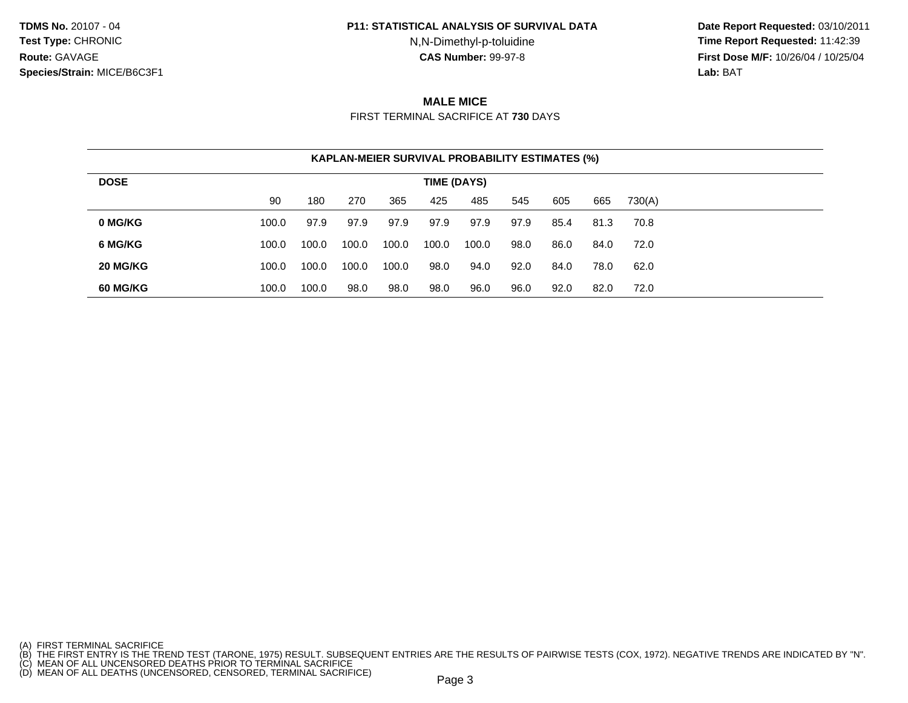#### **P11: STATISTICAL ANALYSIS OF SURVIVAL DATA**

N,N-Dimethyl-p-toluidine

 **Date Report Requested:** 03/10/2011 **Time Report Requested:** 11:42:39 **First Dose M/F:** 10/26/04 / 10/25/04<br>**Lab:** BAT **Lab:** BAT

# **MALE MICE**

FIRST TERMINAL SACRIFICE AT **730** DAYS

|             |       |       |       |       |       | <b>KAPLAN-MEIER SURVIVAL PROBABILITY ESTIMATES (%)</b> |      |      |      |        |
|-------------|-------|-------|-------|-------|-------|--------------------------------------------------------|------|------|------|--------|
| <b>DOSE</b> |       |       |       |       |       | TIME (DAYS)                                            |      |      |      |        |
|             | 90    | 180   | 270   | 365   | 425   | 485                                                    | 545  | 605  | 665  | 730(A) |
| 0 MG/KG     | 100.0 | 97.9  | 97.9  | 97.9  | 97.9  | 97.9                                                   | 97.9 | 85.4 | 81.3 | 70.8   |
| 6 MG/KG     | 100.0 | 100.0 | 100.0 | 100.0 | 100.0 | 100.0                                                  | 98.0 | 86.0 | 84.0 | 72.0   |
| 20 MG/KG    | 100.0 | 100.0 | 100.0 | 100.0 | 98.0  | 94.0                                                   | 92.0 | 84.0 | 78.0 | 62.0   |
| 60 MG/KG    | 100.0 | 100.0 | 98.0  | 98.0  | 98.0  | 96.0                                                   | 96.0 | 92.0 | 82.0 | 72.0   |

<sup>(</sup>A) FIRST TERMINAL SACRIFICE<br>(B) THE FIRST ENTRY IS THE TREND TEST (TARONE, 1975) RESULT. SUBSEQUENT ENTRIES ARE THE RESULTS OF PAIRWISE TESTS (COX, 1972). NEGATIVE TRENDS ARE INDICATED BY "N".<br>(C) MEAN OF ALL UNCENSORED D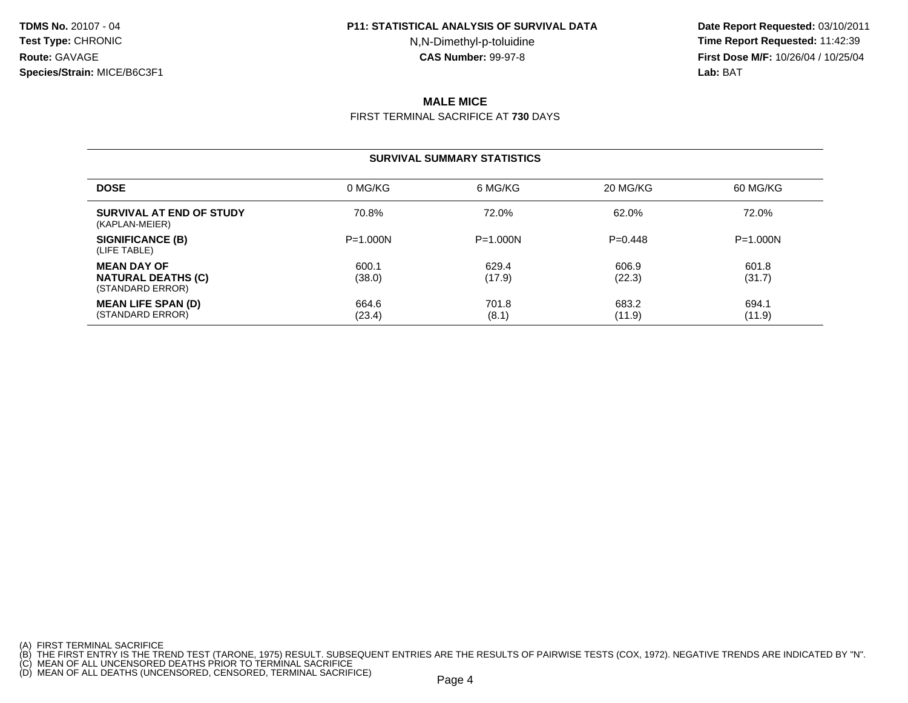#### **P11: STATISTICAL ANALYSIS OF SURVIVAL DATA**

N,N-Dimethyl-p-toluidine

 **Date Report Requested:** 03/10/2011 **Time Report Requested:** 11:42:39 **First Dose M/F:** 10/26/04 / 10/25/04<br>**Lab:** BAT **Lab:** BAT

# **MALE MICE**

FIRST TERMINAL SACRIFICE AT **730** DAYS

### **SURVIVAL SUMMARY STATISTICS**

| <b>DOSE</b>                                                         | 0 MG/KG         | 6 MG/KG         | 20 MG/KG        | 60 MG/KG        |
|---------------------------------------------------------------------|-----------------|-----------------|-----------------|-----------------|
| SURVIVAL AT END OF STUDY<br>(KAPLAN-MEIER)                          | 70.8%           | 72.0%           | 62.0%           | 72.0%           |
| SIGNIFICANCE (B)<br>(LIFE TABLE)                                    | $P = 1.000N$    | $P = 1.000N$    | $P=0.448$       | $P = 1.000N$    |
| <b>MEAN DAY OF</b><br><b>NATURAL DEATHS (C)</b><br>(STANDARD ERROR) | 600.1<br>(38.0) | 629.4<br>(17.9) | 606.9<br>(22.3) | 601.8<br>(31.7) |
| <b>MEAN LIFE SPAN (D)</b><br>(STANDARD ERROR)                       | 664.6<br>(23.4) | 701.8<br>(8.1)  | 683.2<br>(11.9) | 694.1<br>(11.9) |

<sup>(</sup>A) FIRST TERMINAL SACRIFICE<br>(B) THE FIRST ENTRY IS THE TREND TEST (TARONE, 1975) RESULT. SUBSEQUENT ENTRIES ARE THE RESULTS OF PAIRWISE TESTS (COX, 1972). NEGATIVE TRENDS ARE INDICATED BY "N".<br>(C) MEAN OF ALL UNCENSORED D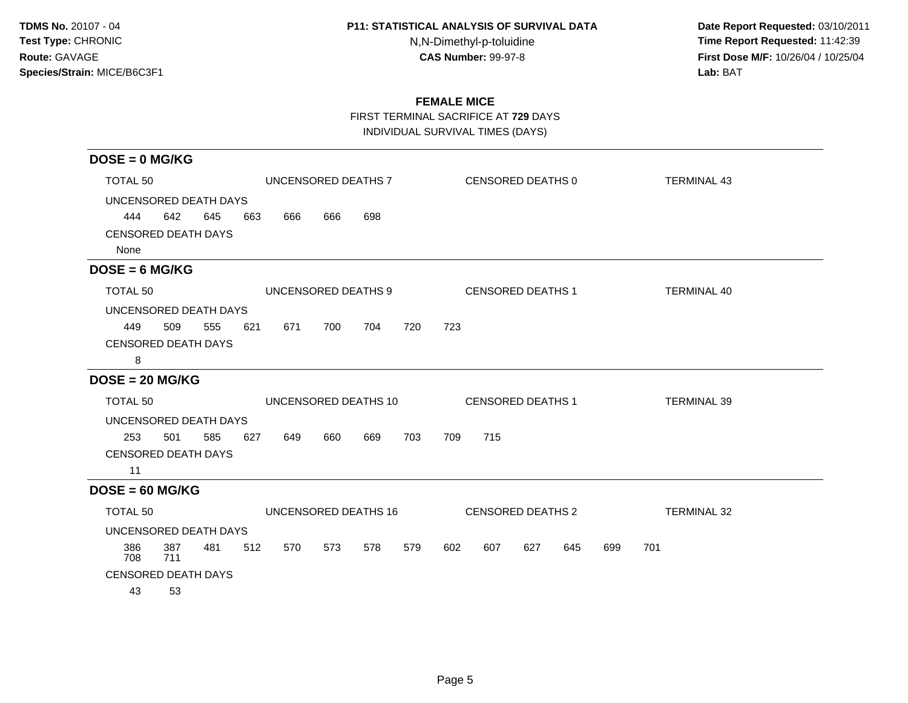## **P11: STATISTICAL ANALYSIS OF SURVIVAL DATA**

N,N-Dimethyl-p-toluidine

 **Date Report Requested:** 03/10/2011 **Time Report Requested:** 11:42:39 **First Dose M/F:** 10/26/04 / 10/25/04<br>Lab: BAT **Lab:** BAT

# **FEMALE MICE**

FIRST TERMINAL SACRIFICE AT **729** DAYS

INDIVIDUAL SURVIVAL TIMES (DAYS)

| $DOSE = 0$ MG/KG                   |            |     |     |     |     |                      |     |     |     |                          |     |     |     |                    |  |
|------------------------------------|------------|-----|-----|-----|-----|----------------------|-----|-----|-----|--------------------------|-----|-----|-----|--------------------|--|
| TOTAL <sub>50</sub>                |            |     |     |     |     | UNCENSORED DEATHS 7  |     |     |     | CENSORED DEATHS 0        |     |     |     | <b>TERMINAL 43</b> |  |
| UNCENSORED DEATH DAYS              |            |     |     |     |     |                      |     |     |     |                          |     |     |     |                    |  |
| 444                                | 642        | 645 | 663 | 666 | 666 | 698                  |     |     |     |                          |     |     |     |                    |  |
| <b>CENSORED DEATH DAYS</b><br>None |            |     |     |     |     |                      |     |     |     |                          |     |     |     |                    |  |
| $DOSE = 6 MG/KG$                   |            |     |     |     |     |                      |     |     |     |                          |     |     |     |                    |  |
| TOTAL <sub>50</sub>                |            |     |     |     |     | UNCENSORED DEATHS 9  |     |     |     | <b>CENSORED DEATHS 1</b> |     |     |     | <b>TERMINAL 40</b> |  |
| UNCENSORED DEATH DAYS              |            |     |     |     |     |                      |     |     |     |                          |     |     |     |                    |  |
| 449                                | 509        | 555 | 621 | 671 | 700 | 704                  | 720 | 723 |     |                          |     |     |     |                    |  |
| <b>CENSORED DEATH DAYS</b>         |            |     |     |     |     |                      |     |     |     |                          |     |     |     |                    |  |
| 8                                  |            |     |     |     |     |                      |     |     |     |                          |     |     |     |                    |  |
| $DOSE = 20 MG/KG$                  |            |     |     |     |     |                      |     |     |     |                          |     |     |     |                    |  |
| TOTAL <sub>50</sub>                |            |     |     |     |     | UNCENSORED DEATHS 10 |     |     |     | <b>CENSORED DEATHS 1</b> |     |     |     | <b>TERMINAL 39</b> |  |
| UNCENSORED DEATH DAYS              |            |     |     |     |     |                      |     |     |     |                          |     |     |     |                    |  |
| 253                                | 501        | 585 | 627 | 649 | 660 | 669                  | 703 | 709 | 715 |                          |     |     |     |                    |  |
| <b>CENSORED DEATH DAYS</b>         |            |     |     |     |     |                      |     |     |     |                          |     |     |     |                    |  |
| 11                                 |            |     |     |     |     |                      |     |     |     |                          |     |     |     |                    |  |
| $DOSE = 60$ MG/KG                  |            |     |     |     |     |                      |     |     |     |                          |     |     |     |                    |  |
| TOTAL <sub>50</sub>                |            |     |     |     |     | UNCENSORED DEATHS 16 |     |     |     | <b>CENSORED DEATHS 2</b> |     |     |     | <b>TERMINAL 32</b> |  |
| UNCENSORED DEATH DAYS              |            |     |     |     |     |                      |     |     |     |                          |     |     |     |                    |  |
| 386<br>708                         | 387<br>711 | 481 | 512 | 570 | 573 | 578                  | 579 | 602 | 607 | 627                      | 645 | 699 | 701 |                    |  |
| <b>CENSORED DEATH DAYS</b>         |            |     |     |     |     |                      |     |     |     |                          |     |     |     |                    |  |
| 43                                 | 53         |     |     |     |     |                      |     |     |     |                          |     |     |     |                    |  |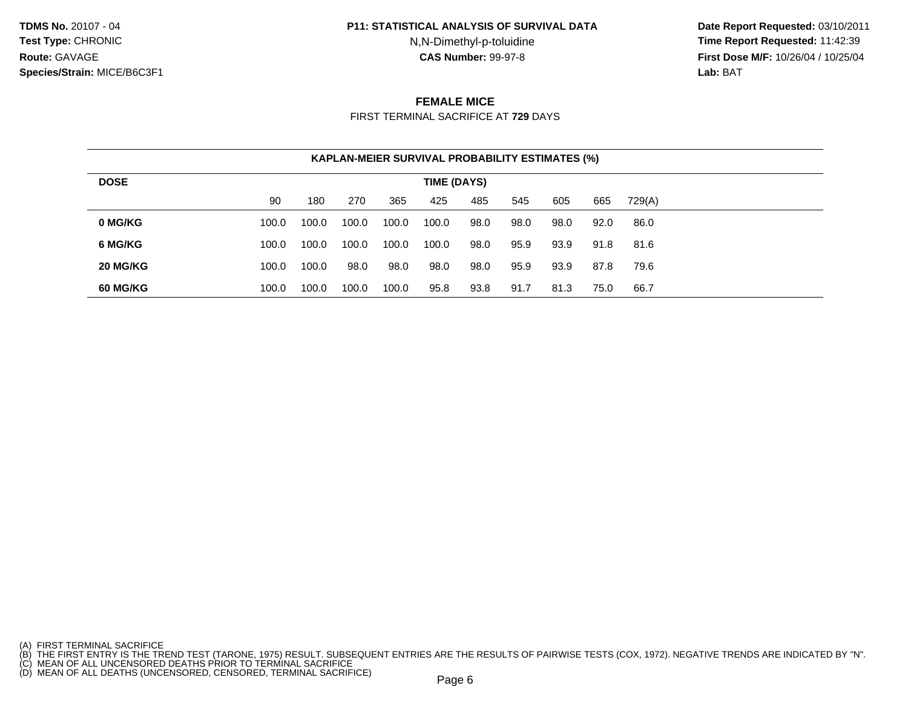#### **P11: STATISTICAL ANALYSIS OF SURVIVAL DATA**

N,N-Dimethyl-p-toluidine

 **Date Report Requested:** 03/10/2011 **Time Report Requested:** 11:42:39 **First Dose M/F:** 10/26/04 / 10/25/04<br>**Lab:** BAT **Lab:** BAT

## **FEMALE MICE**

FIRST TERMINAL SACRIFICE AT **729** DAYS

|             |       | <b>KAPLAN-MEIER SURVIVAL PROBABILITY ESTIMATES (%)</b> |       |       |             |      |      |      |      |        |  |
|-------------|-------|--------------------------------------------------------|-------|-------|-------------|------|------|------|------|--------|--|
| <b>DOSE</b> |       |                                                        |       |       | TIME (DAYS) |      |      |      |      |        |  |
|             | 90    | 180                                                    | 270   | 365   | 425         | 485  | 545  | 605  | 665  | 729(A) |  |
| 0 MG/KG     | 100.0 | 100.0                                                  | 100.0 | 100.0 | 100.0       | 98.0 | 98.0 | 98.0 | 92.0 | 86.0   |  |
| 6 MG/KG     | 100.0 | 100.0                                                  | 100.0 | 100.0 | 100.0       | 98.0 | 95.9 | 93.9 | 91.8 | 81.6   |  |
| 20 MG/KG    | 100.0 | 100.0                                                  | 98.0  | 98.0  | 98.0        | 98.0 | 95.9 | 93.9 | 87.8 | 79.6   |  |
| 60 MG/KG    | 100.0 | 100.0                                                  | 100.0 | 100.0 | 95.8        | 93.8 | 91.7 | 81.3 | 75.0 | 66.7   |  |

<sup>(</sup>A) FIRST TERMINAL SACRIFICE<br>(B) THE FIRST ENTRY IS THE TREND TEST (TARONE, 1975) RESULT. SUBSEQUENT ENTRIES ARE THE RESULTS OF PAIRWISE TESTS (COX, 1972). NEGATIVE TRENDS ARE INDICATED BY "N".<br>(C) MEAN OF ALL UNCENSORED D